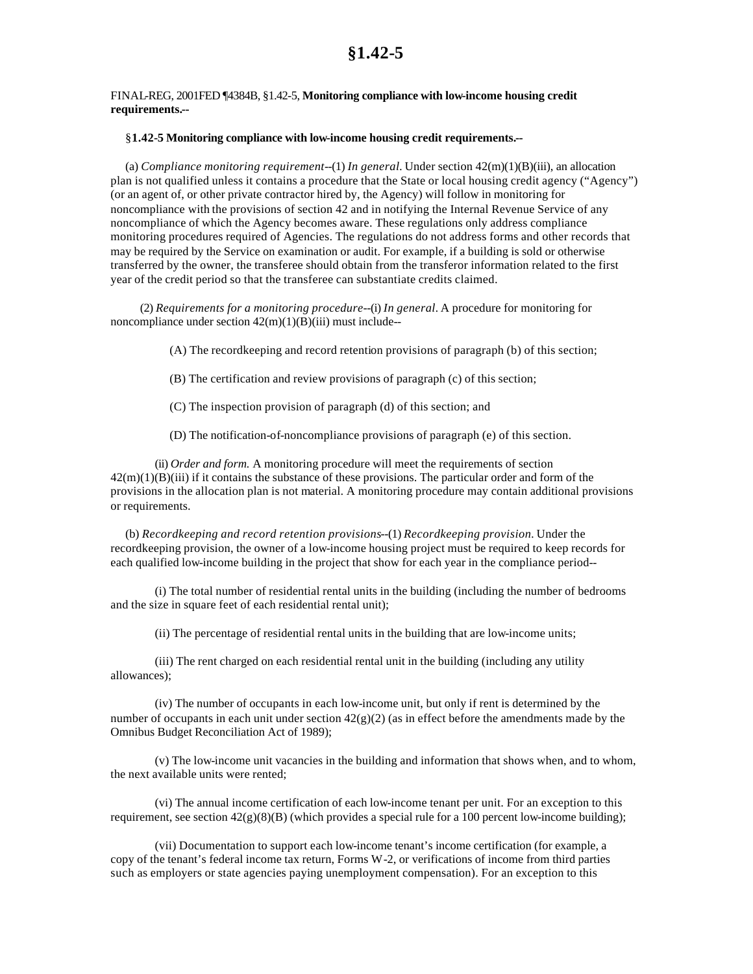## FINAL-REG, 2001FED ¶4384B, §1.42-5, **Monitoring compliance with low-income housing credit requirements.--**

## §**1.42-5 Monitoring compliance with low-income housing credit requirements.--**

(a) *Compliance monitoring requirement*--(1) *In general.* Under section 42(m)(1)(B)(iii), an allocation plan is not qualified unless it contains a procedure that the State or local housing credit agency ("Agency") (or an agent of, or other private contractor hired by, the Agency) will follow in monitoring for noncompliance with the provisions of section 42 and in notifying the Internal Revenue Service of any noncompliance of which the Agency becomes aware. These regulations only address compliance monitoring procedures required of Agencies. The regulations do not address forms and other records that may be required by the Service on examination or audit. For example, if a building is sold or otherwise transferred by the owner, the transferee should obtain from the transferor information related to the first year of the credit period so that the transferee can substantiate credits claimed.

(2) *Requirements for a monitoring procedure*--(i) *In general.* A procedure for monitoring for noncompliance under section  $42(m)(1)(B)(iii)$  must include--

(A) The recordkeeping and record retention provisions of paragraph (b) of this section;

(B) The certification and review provisions of paragraph (c) of this section;

(C) The inspection provision of paragraph (d) of this section; and

(D) The notification-of-noncompliance provisions of paragraph (e) of this section.

(ii) *Order and form.* A monitoring procedure will meet the requirements of section  $42(m)(1)(B)(iii)$  if it contains the substance of these provisions. The particular order and form of the provisions in the allocation plan is not material. A monitoring procedure may contain additional provisions or requirements.

(b) *Recordkeeping and record retention provisions*--(1) *Recordkeeping provision.* Under the recordkeeping provision, the owner of a low-income housing project must be required to keep records for each qualified low-income building in the project that show for each year in the compliance period--

(i) The total number of residential rental units in the building (including the number of bedrooms and the size in square feet of each residential rental unit);

(ii) The percentage of residential rental units in the building that are low-income units;

(iii) The rent charged on each residential rental unit in the building (including any utility allowances);

(iv) The number of occupants in each low-income unit, but only if rent is determined by the number of occupants in each unit under section  $42(g)(2)$  (as in effect before the amendments made by the Omnibus Budget Reconciliation Act of 1989);

(v) The low-income unit vacancies in the building and information that shows when, and to whom, the next available units were rented;

(vi) The annual income certification of each low-income tenant per unit. For an exception to this requirement, see section  $42(g)(8)(B)$  (which provides a special rule for a 100 percent low-income building);

(vii) Documentation to support each low-income tenant's income certification (for example, a copy of the tenant's federal income tax return, Forms W-2, or verifications of income from third parties such as employers or state agencies paying unemployment compensation). For an exception to this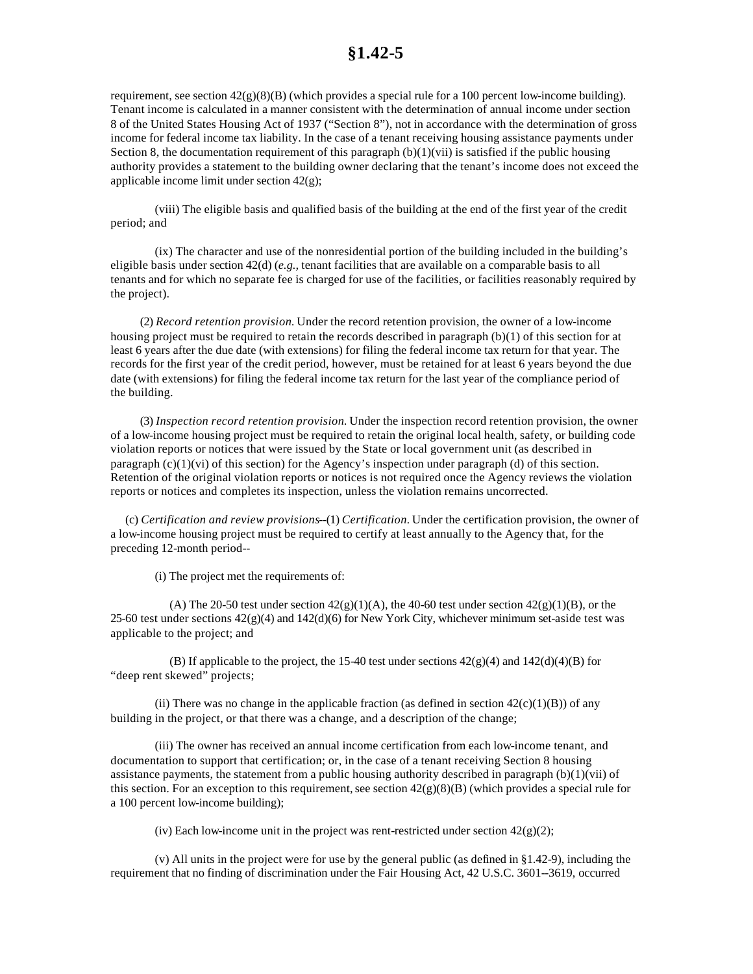## **§1.42-5**

requirement, see section  $42(g)(8)(B)$  (which provides a special rule for a 100 percent low-income building). Tenant income is calculated in a manner consistent with the determination of annual income under section 8 of the United States Housing Act of 1937 ("Section 8"), not in accordance with the determination of gross income for federal income tax liability. In the case of a tenant receiving housing assistance payments under Section 8, the documentation requirement of this paragraph  $(b)(1)(vii)$  is satisfied if the public housing authority provides a statement to the building owner declaring that the tenant's income does not exceed the applicable income limit under section 42(g);

(viii) The eligible basis and qualified basis of the building at the end of the first year of the credit period; and

(ix) The character and use of the nonresidential portion of the building included in the building's eligible basis under section 42(d) (*e.g.,* tenant facilities that are available on a comparable basis to all tenants and for which no separate fee is charged for use of the facilities, or facilities reasonably required by the project).

(2) *Record retention provision.* Under the record retention provision, the owner of a low-income housing project must be required to retain the records described in paragraph (b)(1) of this section for at least 6 years after the due date (with extensions) for filing the federal income tax return for that year. The records for the first year of the credit period, however, must be retained for at least 6 years beyond the due date (with extensions) for filing the federal income tax return for the last year of the compliance period of the building.

(3) *Inspection record retention provision.* Under the inspection record retention provision, the owner of a low-income housing project must be required to retain the original local health, safety, or building code violation reports or notices that were issued by the State or local government unit (as described in paragraph  $(c)(1)(vi)$  of this section) for the Agency's inspection under paragraph (d) of this section. Retention of the original violation reports or notices is not required once the Agency reviews the violation reports or notices and completes its inspection, unless the violation remains uncorrected.

(c) *Certification and review provisions*--(1) *Certification.* Under the certification provision, the owner of a low-income housing project must be required to certify at least annually to the Agency that, for the preceding 12-month period--

(i) The project met the requirements of:

(A) The 20-50 test under section  $42(g)(1)(A)$ , the 40-60 test under section  $42(g)(1)(B)$ , or the 25-60 test under sections  $42(g)(4)$  and  $142(d)(6)$  for New York City, whichever minimum set-aside test was applicable to the project; and

(B) If applicable to the project, the 15-40 test under sections  $42(g)(4)$  and  $142(d)(4)(B)$  for "deep rent skewed" projects;

(ii) There was no change in the applicable fraction (as defined in section  $42(c)(1)(B)$ ) of any building in the project, or that there was a change, and a description of the change;

(iii) The owner has received an annual income certification from each low-income tenant, and documentation to support that certification; or, in the case of a tenant receiving Section 8 housing assistance payments, the statement from a public housing authority described in paragraph  $(b)(1)(vi)$  of this section. For an exception to this requirement, see section  $42(g)(8)(B)$  (which provides a special rule for a 100 percent low-income building);

(iv) Each low-income unit in the project was rent-restricted under section  $42(g)(2)$ ;

(v) All units in the project were for use by the general public (as defined in §1.42-9), including the requirement that no finding of discrimination under the Fair Housing Act, 42 U.S.C. 3601--3619, occurred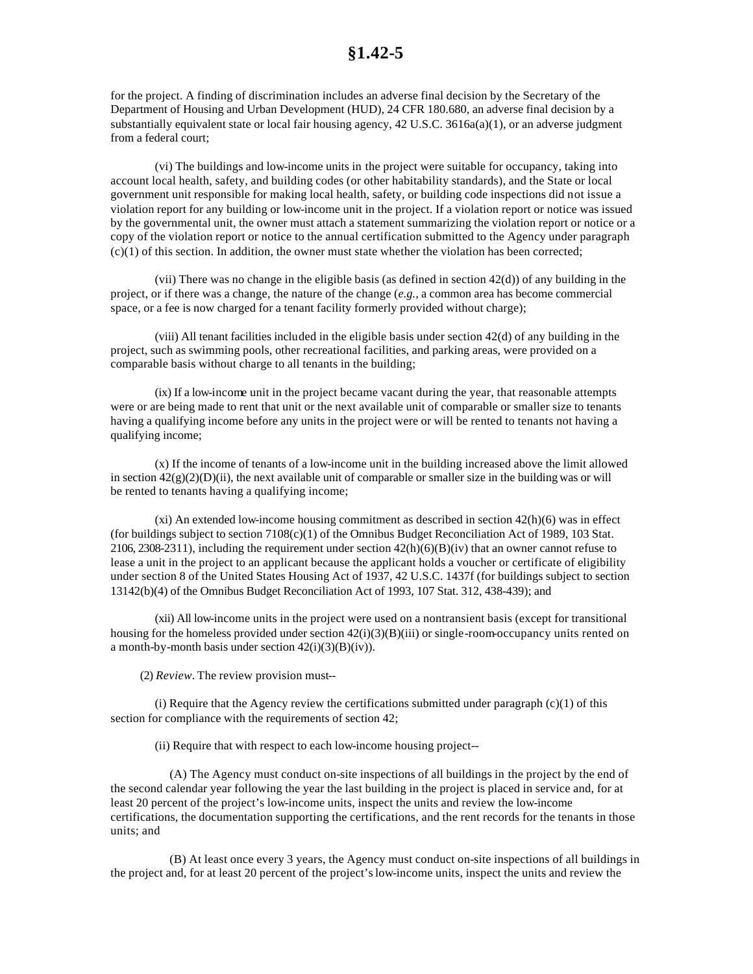for the project. A finding of discrimination includes an adverse final decision by the Secretary of the Department of Housing and Urban Development (HUD), 24 CFR 180.680, an adverse final decision by a substantially equivalent state or local fair housing agency,  $42 \text{ U.S.C. } 3616a(a)(1)$ , or an adverse judgment from a federal court;

(vi) The buildings and low-income units in the project were suitable for occupancy, taking into account local health, safety, and building codes (or other habitability standards), and the State or local government unit responsible for making local health, safety, or building code inspections did not issue a violation report for any building or low-income unit in the project. If a violation report or notice was issued by the governmental unit, the owner must attach a statement summarizing the violation report or notice or a copy of the violation report or notice to the annual certification submitted to the Agency under paragraph  $(c)(1)$  of this section. In addition, the owner must state whether the violation has been corrected;

(vii) There was no change in the eligible basis (as defined in section  $42(d)$ ) of any building in the project, or if there was a change, the nature of the change (*e.g.,* a common area has become commercial space, or a fee is now charged for a tenant facility formerly provided without charge);

(viii) All tenant facilities included in the eligible basis under section 42(d) of any building in the project, such as swimming pools, other recreational facilities, and parking areas, were provided on a comparable basis without charge to all tenants in the building;

(ix) If a low-income unit in the project became vacant during the year, that reasonable attempts were or are being made to rent that unit or the next available unit of comparable or smaller size to tenants having a qualifying income before any units in the project were or will be rented to tenants not having a qualifying income;

(x) If the income of tenants of a low-income unit in the building increased above the limit allowed in section  $42(g)(2)(D)(ii)$ , the next available unit of comparable or smaller size in the building was or will be rented to tenants having a qualifying income;

 $(x<sub>i</sub>)$  An extended low-income housing commitment as described in section  $42(h)(6)$  was in effect (for buildings subject to section 7108(c)(1) of the Omnibus Budget Reconciliation Act of 1989, 103 Stat. 2106, 2308-2311), including the requirement under section  $42(h)(6)(B)(iv)$  that an owner cannot refuse to lease a unit in the project to an applicant because the applicant holds a voucher or certificate of eligibility under section 8 of the United States Housing Act of 1937, 42 U.S.C. 1437f (for buildings subject to section 13142(b)(4) of the Omnibus Budget Reconciliation Act of 1993, 107 Stat. 312, 438-439); and

(xii) All low-income units in the project were used on a nontransient basis (except for transitional housing for the homeless provided under section  $42(i)(3)(B)(iii)$  or single-room-occupancy units rented on a month-by-month basis under section  $42(i)(3)(B)(iv)$ .

(2) *Review.* The review provision must--

(i) Require that the Agency review the certifications submitted under paragraph  $(c)(1)$  of this section for compliance with the requirements of section 42;

(ii) Require that with respect to each low-income housing project--

(A) The Agency must conduct on-site inspections of all buildings in the project by the end of the second calendar year following the year the last building in the project is placed in service and, for at least 20 percent of the project's low-income units, inspect the units and review the low-income certifications, the documentation supporting the certifications, and the rent records for the tenants in those units; and

(B) At least once every 3 years, the Agency must conduct on-site inspections of all buildings in the project and, for at least 20 percent of the project's low-income units, inspect the units and review the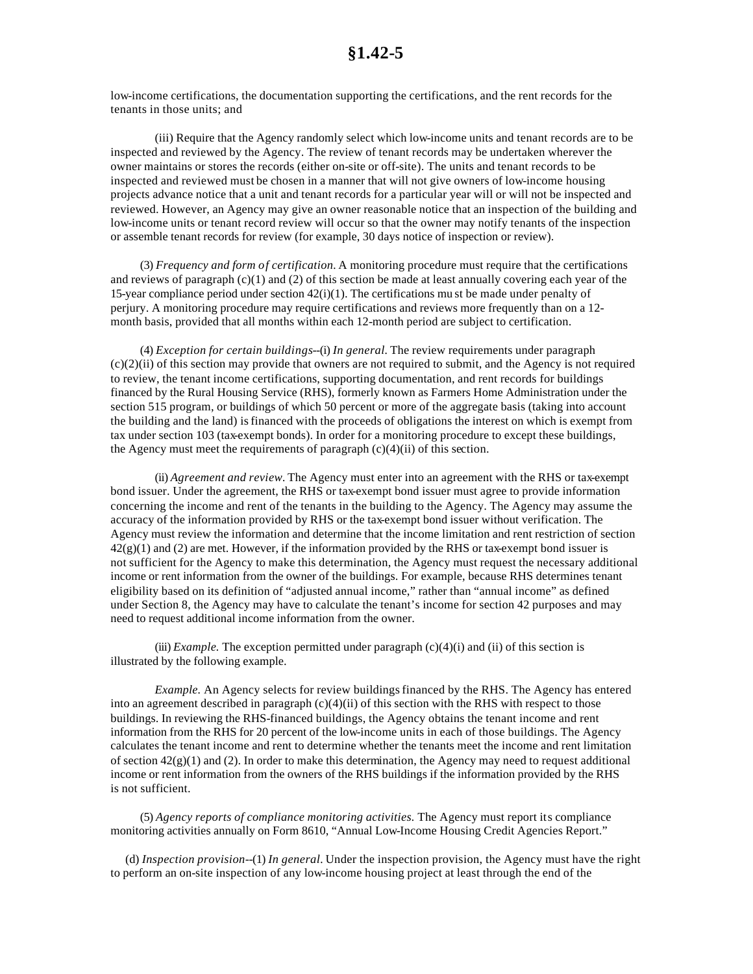low-income certifications, the documentation supporting the certifications, and the rent records for the tenants in those units; and

(iii) Require that the Agency randomly select which low-income units and tenant records are to be inspected and reviewed by the Agency. The review of tenant records may be undertaken wherever the owner maintains or stores the records (either on-site or off-site). The units and tenant records to be inspected and reviewed must be chosen in a manner that will not give owners of low-income housing projects advance notice that a unit and tenant records for a particular year will or will not be inspected and reviewed. However, an Agency may give an owner reasonable notice that an inspection of the building and low-income units or tenant record review will occur so that the owner may notify tenants of the inspection or assemble tenant records for review (for example, 30 days notice of inspection or review).

(3) *Frequency and form of certification.* A monitoring procedure must require that the certifications and reviews of paragraph (c)(1) and (2) of this section be made at least annually covering each year of the 15-year compliance period under section  $42(i)(1)$ . The certifications mu st be made under penalty of perjury. A monitoring procedure may require certifications and reviews more frequently than on a 12 month basis, provided that all months within each 12-month period are subject to certification.

(4) *Exception for certain buildings*--(i) *In general.* The review requirements under paragraph (c)(2)(ii) of this section may provide that owners are not required to submit, and the Agency is not required to review, the tenant income certifications, supporting documentation, and rent records for buildings financed by the Rural Housing Service (RHS), formerly known as Farmers Home Administration under the section 515 program, or buildings of which 50 percent or more of the aggregate basis (taking into account the building and the land) is financed with the proceeds of obligations the interest on which is exempt from tax under section 103 (tax-exempt bonds). In order for a monitoring procedure to except these buildings, the Agency must meet the requirements of paragraph  $(c)(4)(ii)$  of this section.

(ii) *Agreement and review.* The Agency must enter into an agreement with the RHS or tax-exempt bond issuer. Under the agreement, the RHS or tax-exempt bond issuer must agree to provide information concerning the income and rent of the tenants in the building to the Agency. The Agency may assume the accuracy of the information provided by RHS or the tax-exempt bond issuer without verification. The Agency must review the information and determine that the income limitation and rent restriction of section  $42(g)(1)$  and (2) are met. However, if the information provided by the RHS or tax-exempt bond issuer is not sufficient for the Agency to make this determination, the Agency must request the necessary additional income or rent information from the owner of the buildings. For example, because RHS determines tenant eligibility based on its definition of "adjusted annual income," rather than "annual income" as defined under Section 8, the Agency may have to calculate the tenant's income for section 42 purposes and may need to request additional income information from the owner.

(iii) *Example*. The exception permitted under paragraph  $(c)(4)(i)$  and (ii) of this section is illustrated by the following example.

*Example.* An Agency selects for review buildings financed by the RHS. The Agency has entered into an agreement described in paragraph (c)(4)(ii) of this section with the RHS with respect to those buildings. In reviewing the RHS-financed buildings, the Agency obtains the tenant income and rent information from the RHS for 20 percent of the low-income units in each of those buildings. The Agency calculates the tenant income and rent to determine whether the tenants meet the income and rent limitation of section  $42(\frac{g}{1})$  and (2). In order to make this determination, the Agency may need to request additional income or rent information from the owners of the RHS buildings if the information provided by the RHS is not sufficient.

(5) *Agency reports of compliance monitoring activities.* The Agency must report its compliance monitoring activities annually on Form 8610, "Annual Low-Income Housing Credit Agencies Report."

(d) *Inspection provision*--(1) *In general.* Under the inspection provision, the Agency must have the right to perform an on-site inspection of any low-income housing project at least through the end of the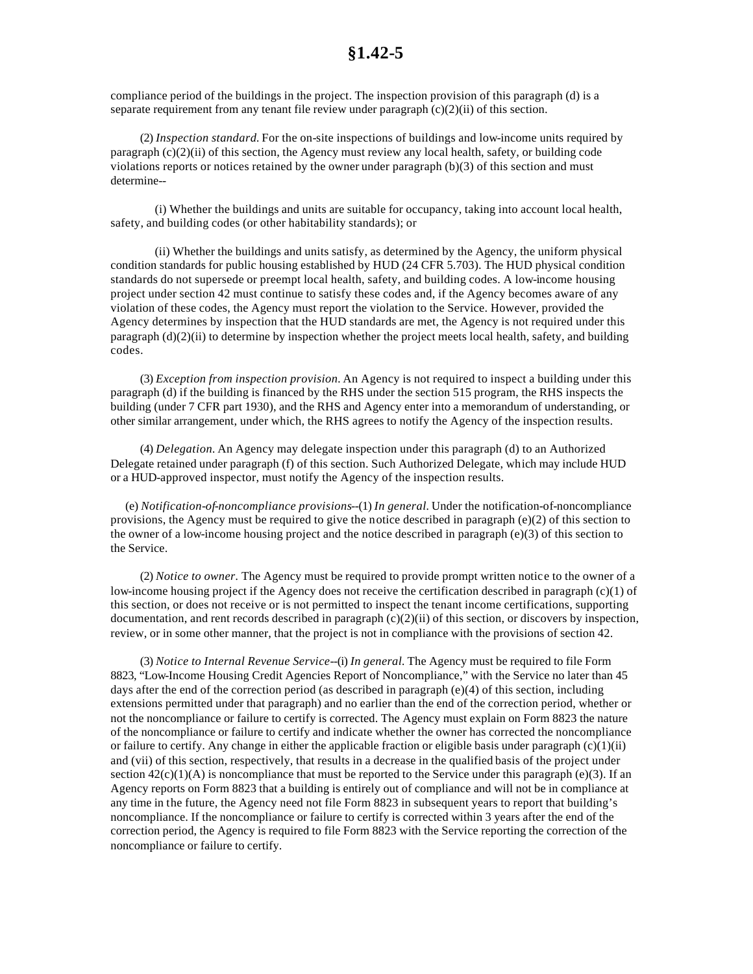compliance period of the buildings in the project. The inspection provision of this paragraph (d) is a separate requirement from any tenant file review under paragraph  $(c)(2)(ii)$  of this section.

(2) *Inspection standard.* For the on-site inspections of buildings and low-income units required by paragraph (c)(2)(ii) of this section, the Agency must review any local health, safety, or building code violations reports or notices retained by the owner under paragraph (b)(3) of this section and must determine--

(i) Whether the buildings and units are suitable for occupancy, taking into account local health, safety, and building codes (or other habitability standards); or

(ii) Whether the buildings and units satisfy, as determined by the Agency, the uniform physical condition standards for public housing established by HUD (24 CFR 5.703). The HUD physical condition standards do not supersede or preempt local health, safety, and building codes. A low-income housing project under section 42 must continue to satisfy these codes and, if the Agency becomes aware of any violation of these codes, the Agency must report the violation to the Service. However, provided the Agency determines by inspection that the HUD standards are met, the Agency is not required under this paragraph (d)(2)(ii) to determine by inspection whether the project meets local health, safety, and building codes.

(3) *Exception from inspection provision.* An Agency is not required to inspect a building under this paragraph (d) if the building is financed by the RHS under the section 515 program, the RHS inspects the building (under 7 CFR part 1930), and the RHS and Agency enter into a memorandum of understanding, or other similar arrangement, under which, the RHS agrees to notify the Agency of the inspection results.

(4) *Delegation.* An Agency may delegate inspection under this paragraph (d) to an Authorized Delegate retained under paragraph (f) of this section. Such Authorized Delegate, which may include HUD or a HUD-approved inspector, must notify the Agency of the inspection results.

(e) *Notification-of-noncompliance provisions*--(1) *In general.* Under the notification-of-noncompliance provisions, the Agency must be required to give the notice described in paragraph (e)(2) of this section to the owner of a low-income housing project and the notice described in paragraph (e)(3) of this section to the Service.

(2) *Notice to owner.* The Agency must be required to provide prompt written notice to the owner of a low-income housing project if the Agency does not receive the certification described in paragraph (c)(1) of this section, or does not receive or is not permitted to inspect the tenant income certifications, supporting documentation, and rent records described in paragraph  $(c)(2)(ii)$  of this section, or discovers by inspection, review, or in some other manner, that the project is not in compliance with the provisions of section 42.

(3) *Notice to Internal Revenue Service*--(i) *In general.* The Agency must be required to file Form 8823, "Low-Income Housing Credit Agencies Report of Noncompliance," with the Service no later than 45 days after the end of the correction period (as described in paragraph (e)(4) of this section, including extensions permitted under that paragraph) and no earlier than the end of the correction period, whether or not the noncompliance or failure to certify is corrected. The Agency must explain on Form 8823 the nature of the noncompliance or failure to certify and indicate whether the owner has corrected the noncompliance or failure to certify. Any change in either the applicable fraction or eligible basis under paragraph (c)(1)(ii) and (vii) of this section, respectively, that results in a decrease in the qualified basis of the project under section  $42(c)(1)(A)$  is noncompliance that must be reported to the Service under this paragraph (e)(3). If an Agency reports on Form 8823 that a building is entirely out of compliance and will not be in compliance at any time in the future, the Agency need not file Form 8823 in subsequent years to report that building's noncompliance. If the noncompliance or failure to certify is corrected within 3 years after the end of the correction period, the Agency is required to file Form 8823 with the Service reporting the correction of the noncompliance or failure to certify.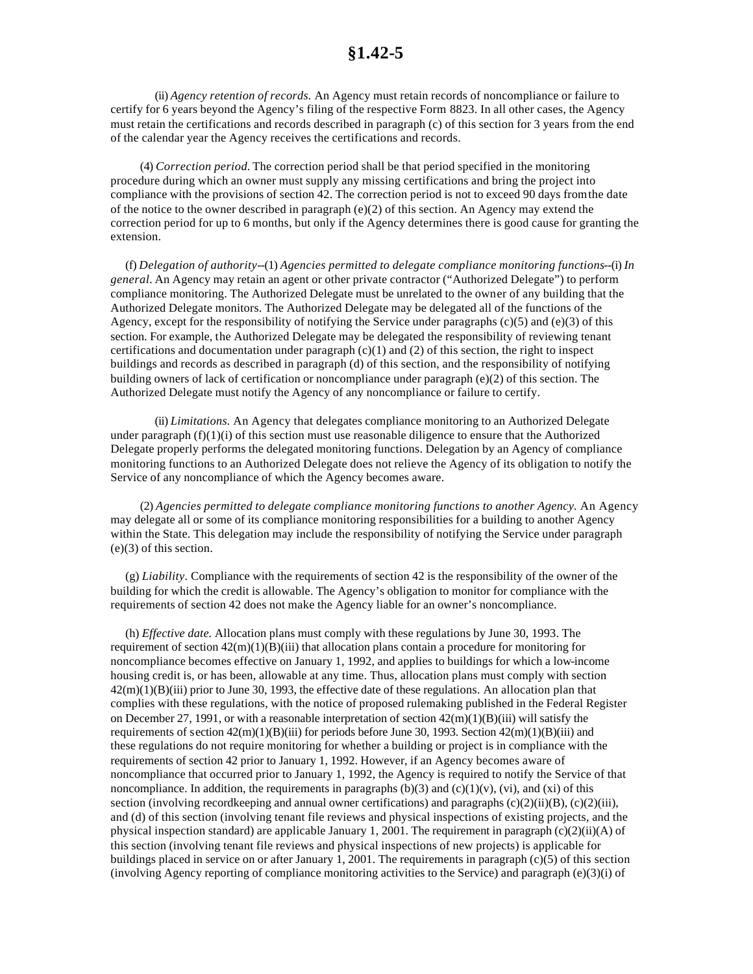(ii) *Agency retention of records.* An Agency must retain records of noncompliance or failure to certify for 6 years beyond the Agency's filing of the respective Form 8823. In all other cases, the Agency must retain the certifications and records described in paragraph (c) of this section for 3 years from the end of the calendar year the Agency receives the certifications and records.

(4) *Correction period.* The correction period shall be that period specified in the monitoring procedure during which an owner must supply any missing certifications and bring the project into compliance with the provisions of section 42. The correction period is not to exceed 90 days from the date of the notice to the owner described in paragraph (e)(2) of this section. An Agency may extend the correction period for up to 6 months, but only if the Agency determines there is good cause for granting the extension.

(f) *Delegation of authority*--(1) *Agencies permitted to delegate compliance monitoring functions*--(i) *In general.* An Agency may retain an agent or other private contractor ("Authorized Delegate") to perform compliance monitoring. The Authorized Delegate must be unrelated to the owner of any building that the Authorized Delegate monitors. The Authorized Delegate may be delegated all of the functions of the Agency, except for the responsibility of notifying the Service under paragraphs  $(c)(5)$  and  $(e)(3)$  of this section. For example, the Authorized Delegate may be delegated the responsibility of reviewing tenant certifications and documentation under paragraph  $(c)(1)$  and  $(2)$  of this section, the right to inspect buildings and records as described in paragraph (d) of this section, and the responsibility of notifying building owners of lack of certification or noncompliance under paragraph (e)(2) of this section. The Authorized Delegate must notify the Agency of any noncompliance or failure to certify.

(ii) *Limitations.* An Agency that delegates compliance monitoring to an Authorized Delegate under paragraph  $(f)(1)(i)$  of this section must use reasonable diligence to ensure that the Authorized Delegate properly performs the delegated monitoring functions. Delegation by an Agency of compliance monitoring functions to an Authorized Delegate does not relieve the Agency of its obligation to notify the Service of any noncompliance of which the Agency becomes aware.

(2) *Agencies permitted to delegate compliance monitoring functions to another Agency.* An Agency may delegate all or some of its compliance monitoring responsibilities for a building to another Agency within the State. This delegation may include the responsibility of notifying the Service under paragraph (e)(3) of this section.

(g) *Liability.* Compliance with the requirements of section 42 is the responsibility of the owner of the building for which the credit is allowable. The Agency's obligation to monitor for compliance with the requirements of section 42 does not make the Agency liable for an owner's noncompliance.

(h) *Effective date.* Allocation plans must comply with these regulations by June 30, 1993. The requirement of section  $42(m)(1)(B)(iii)$  that allocation plans contain a procedure for monitoring for noncompliance becomes effective on January 1, 1992, and applies to buildings for which a low-income housing credit is, or has been, allowable at any time. Thus, allocation plans must comply with section  $42(m)(1)(B)(iii)$  prior to June 30, 1993, the effective date of these regulations. An allocation plan that complies with these regulations, with the notice of proposed rulemaking published in the Federal Register on December 27, 1991, or with a reasonable interpretation of section  $42(m)(1)(B)(iii)$  will satisfy the requirements of section  $42(m)(1)(B)(iii)$  for periods before June 30, 1993. Section  $42(m)(1)(B)(iii)$  and these regulations do not require monitoring for whether a building or project is in compliance with the requirements of section 42 prior to January 1, 1992. However, if an Agency becomes aware of noncompliance that occurred prior to January 1, 1992, the Agency is required to notify the Service of that noncompliance. In addition, the requirements in paragraphs  $(b)(3)$  and  $(c)(1)(v)$ ,  $(vi)$ , and  $(xi)$  of this section (involving recordkeeping and annual owner certifications) and paragraphs  $(c)(2)(ii)(B)$ ,  $(c)(2)(iii)$ , and (d) of this section (involving tenant file reviews and physical inspections of existing projects, and the physical inspection standard) are applicable January 1, 2001. The requirement in paragraph (c)(2)(ii)(A) of this section (involving tenant file reviews and physical inspections of new projects) is applicable for buildings placed in service on or after January 1, 2001. The requirements in paragraph (c)(5) of this section (involving Agency reporting of compliance monitoring activities to the Service) and paragraph (e)(3)(i) of